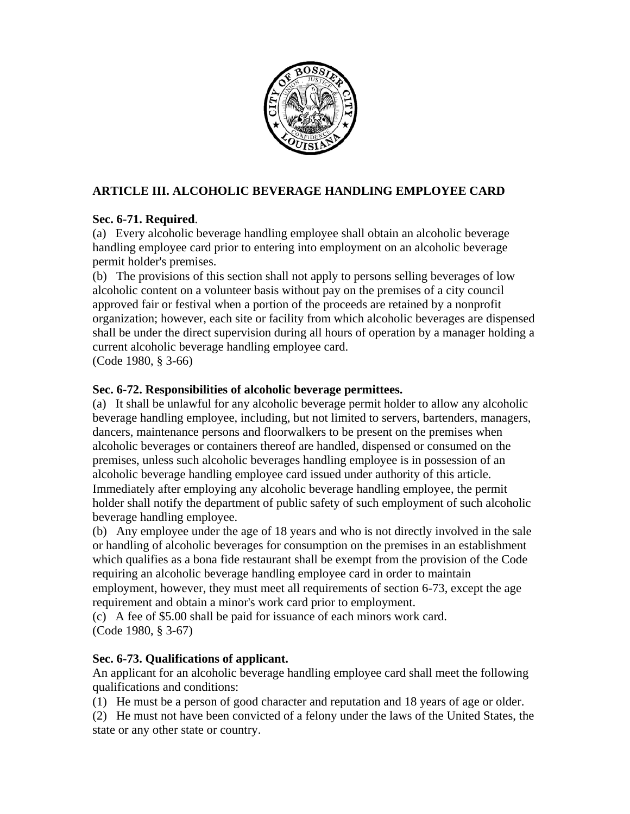

# **ARTICLE III. ALCOHOLIC BEVERAGE HANDLING EMPLOYEE CARD**

## **Sec. 6-71. Required**.

(a) Every alcoholic beverage handling employee shall obtain an alcoholic beverage handling employee card prior to entering into employment on an alcoholic beverage permit holder's premises.

(b) The provisions of this section shall not apply to persons selling beverages of low alcoholic content on a volunteer basis without pay on the premises of a city council approved fair or festival when a portion of the proceeds are retained by a nonprofit organization; however, each site or facility from which alcoholic beverages are dispensed shall be under the direct supervision during all hours of operation by a manager holding a current alcoholic beverage handling employee card.

(Code 1980, § 3-66)

## **Sec. 6-72. Responsibilities of alcoholic beverage permittees.**

(a) It shall be unlawful for any alcoholic beverage permit holder to allow any alcoholic beverage handling employee, including, but not limited to servers, bartenders, managers, dancers, maintenance persons and floorwalkers to be present on the premises when alcoholic beverages or containers thereof are handled, dispensed or consumed on the premises, unless such alcoholic beverages handling employee is in possession of an alcoholic beverage handling employee card issued under authority of this article. Immediately after employing any alcoholic beverage handling employee, the permit holder shall notify the department of public safety of such employment of such alcoholic beverage handling employee.

(b) Any employee under the age of 18 years and who is not directly involved in the sale or handling of alcoholic beverages for consumption on the premises in an establishment which qualifies as a bona fide restaurant shall be exempt from the provision of the Code requiring an alcoholic beverage handling employee card in order to maintain employment, however, they must meet all requirements of section 6-73, except the age requirement and obtain a minor's work card prior to employment.

(c) A fee of \$5.00 shall be paid for issuance of each minors work card. (Code 1980, § 3-67)

# **Sec. 6-73. Qualifications of applicant.**

An applicant for an alcoholic beverage handling employee card shall meet the following qualifications and conditions:

(1) He must be a person of good character and reputation and 18 years of age or older.

(2) He must not have been convicted of a felony under the laws of the United States, the state or any other state or country.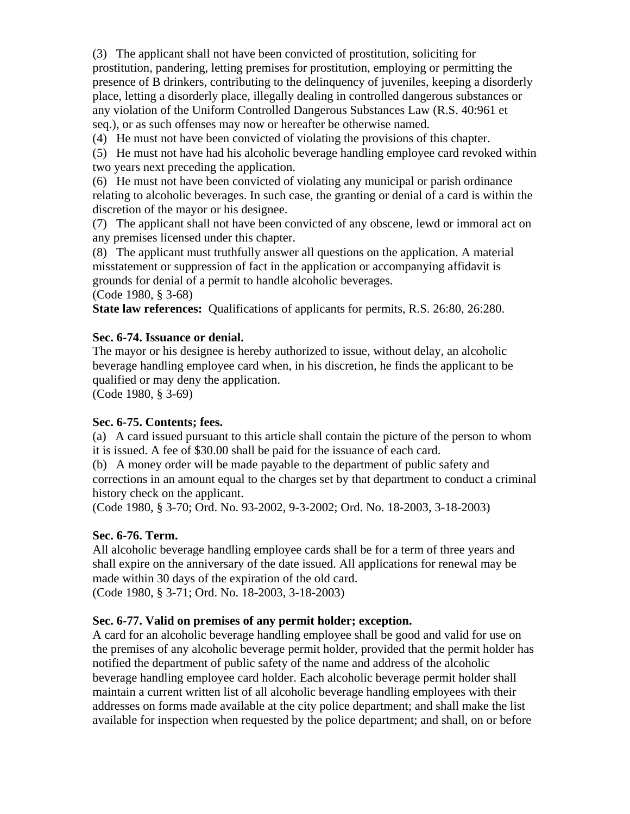(3) The applicant shall not have been convicted of prostitution, soliciting for prostitution, pandering, letting premises for prostitution, employing or permitting the presence of B drinkers, contributing to the delinquency of juveniles, keeping a disorderly place, letting a disorderly place, illegally dealing in controlled dangerous substances or any violation of the Uniform Controlled Dangerous Substances Law (R.S. 40:961 et seq.), or as such offenses may now or hereafter be otherwise named.

(4) He must not have been convicted of violating the provisions of this chapter.

(5) He must not have had his alcoholic beverage handling employee card revoked within two years next preceding the application.

(6) He must not have been convicted of violating any municipal or parish ordinance relating to alcoholic beverages. In such case, the granting or denial of a card is within the discretion of the mayor or his designee.

(7) The applicant shall not have been convicted of any obscene, lewd or immoral act on any premises licensed under this chapter.

(8) The applicant must truthfully answer all questions on the application. A material misstatement or suppression of fact in the application or accompanying affidavit is grounds for denial of a permit to handle alcoholic beverages.

(Code 1980, § 3-68)

**State law references:** Qualifications of applicants for permits, R.S. 26:80, 26:280.

#### **Sec. 6-74. Issuance or denial.**

The mayor or his designee is hereby authorized to issue, without delay, an alcoholic beverage handling employee card when, in his discretion, he finds the applicant to be qualified or may deny the application.

(Code 1980, § 3-69)

### **Sec. 6-75. Contents; fees.**

(a) A card issued pursuant to this article shall contain the picture of the person to whom it is issued. A fee of \$30.00 shall be paid for the issuance of each card.

(b) A money order will be made payable to the department of public safety and corrections in an amount equal to the charges set by that department to conduct a criminal history check on the applicant.

(Code 1980, § 3-70; Ord. No. 93-2002, 9-3-2002; Ord. No. 18-2003, 3-18-2003)

### **Sec. 6-76. Term.**

All alcoholic beverage handling employee cards shall be for a term of three years and shall expire on the anniversary of the date issued. All applications for renewal may be made within 30 days of the expiration of the old card.

(Code 1980, § 3-71; Ord. No. 18-2003, 3-18-2003)

#### **Sec. 6-77. Valid on premises of any permit holder; exception.**

A card for an alcoholic beverage handling employee shall be good and valid for use on the premises of any alcoholic beverage permit holder, provided that the permit holder has notified the department of public safety of the name and address of the alcoholic beverage handling employee card holder. Each alcoholic beverage permit holder shall maintain a current written list of all alcoholic beverage handling employees with their addresses on forms made available at the city police department; and shall make the list available for inspection when requested by the police department; and shall, on or before